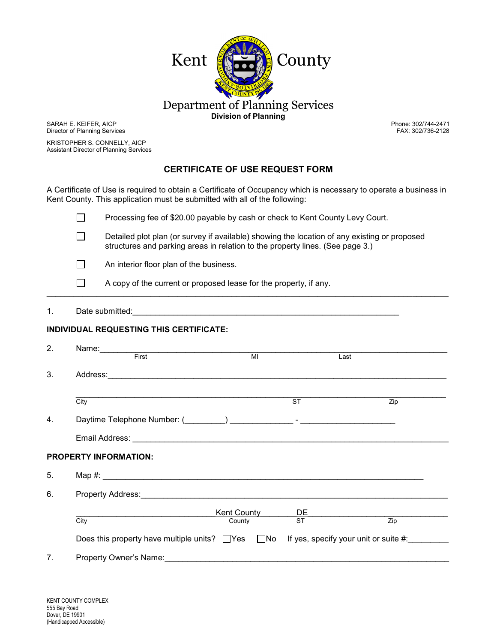

SARAH E. KEIFER, AICP Director of Planning Services

KRISTOPHER S. CONNELLY, AICP Assistant Director of Planning Services

## **CERTIFICATE OF USE REQUEST FORM**

A Certificate of Use is required to obtain a Certificate of Occupancy which is necessary to operate a business in Kent County. This application must be submitted with all of the following:

|              | Processing fee of \$20.00 payable by cash or check to Kent County Levy Court.                                                                                                 |
|--------------|-------------------------------------------------------------------------------------------------------------------------------------------------------------------------------|
|              | Detailed plot plan (or survey if available) showing the location of any existing or proposed<br>structures and parking areas in relation to the property lines. (See page 3.) |
| $\mathbf{L}$ | An interior floor plan of the business.                                                                                                                                       |
|              | A copy of the current or proposed lease for the property, if any.                                                                                                             |

\_\_\_\_\_\_\_\_\_\_\_\_\_\_\_\_\_\_\_\_\_\_\_\_\_\_\_\_\_\_\_\_\_\_\_\_\_\_\_\_\_\_\_\_\_\_\_\_\_\_\_\_\_\_\_\_\_\_\_\_\_\_\_\_\_\_\_\_\_\_\_\_\_\_\_\_\_\_\_\_\_\_\_\_\_\_\_\_\_

#### 1. Date submitted: <u>contained:</u> and a submitted: and a submitted: **and a submitted:**  $\frac{1}{2}$  and  $\frac{1}{2}$  and  $\frac{1}{2}$  and  $\frac{1}{2}$  and  $\frac{1}{2}$  and  $\frac{1}{2}$  and  $\frac{1}{2}$  and  $\frac{1}{2}$  and  $\frac{1}{2}$  and  $\frac{1}{2}$  a

### **INDIVIDUAL REQUESTING THIS CERTIFICATE:**

| 2.                           |                                                                                                                                                                                                                                |                |                                    |                  |  |  |
|------------------------------|--------------------------------------------------------------------------------------------------------------------------------------------------------------------------------------------------------------------------------|----------------|------------------------------------|------------------|--|--|
|                              | First                                                                                                                                                                                                                          | M <sub>l</sub> | Last                               |                  |  |  |
| 3.                           | Address: 2008 2009 2009 2009 2010 2021 2022 2023 2024 2022 2023 2024 2022 2023 2024 2022 2023 2024 2022 2023 20                                                                                                                |                |                                    |                  |  |  |
|                              | City                                                                                                                                                                                                                           |                | $\overline{\text{ST}}$             | $\overline{Zip}$ |  |  |
| 4.                           |                                                                                                                                                                                                                                |                |                                    |                  |  |  |
|                              |                                                                                                                                                                                                                                |                |                                    |                  |  |  |
| <b>PROPERTY INFORMATION:</b> |                                                                                                                                                                                                                                |                |                                    |                  |  |  |
| 5.                           |                                                                                                                                                                                                                                |                |                                    |                  |  |  |
| 6.                           | Property Address: Note that the contract of the contract of the contract of the contract of the contract of the contract of the contract of the contract of the contract of the contract of the contract of the contract of th |                |                                    |                  |  |  |
|                              |                                                                                                                                                                                                                                |                |                                    |                  |  |  |
|                              | City                                                                                                                                                                                                                           | County         | <b>Kent County</b> DE<br>County ST | Zip              |  |  |
|                              | Does this property have multiple units? $\Box$ Yes $\Box$ No If yes, specify your unit or suite #:                                                                                                                             |                |                                    |                  |  |  |
| 7.                           | Property Owner's Name:                                                                                                                                                                                                         |                |                                    |                  |  |  |

 Phone: 302/744-2471 FAX: 302/736-2128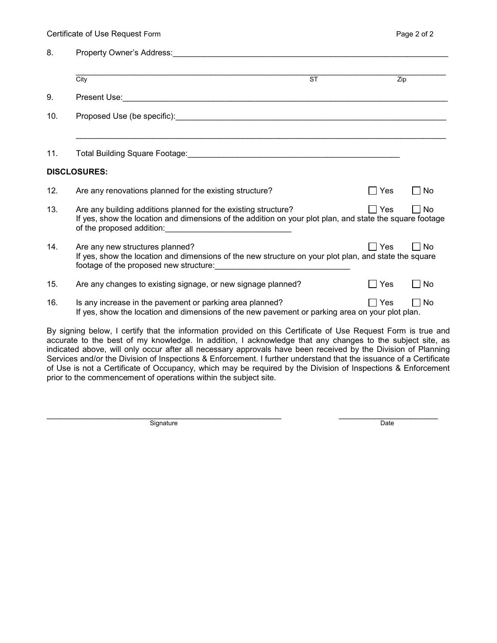| 8.  |                                                                                                                                                                                                                                                                                                                                              |               |             |
|-----|----------------------------------------------------------------------------------------------------------------------------------------------------------------------------------------------------------------------------------------------------------------------------------------------------------------------------------------------|---------------|-------------|
|     | ST<br>City                                                                                                                                                                                                                                                                                                                                   |               | Zip         |
| 9.  |                                                                                                                                                                                                                                                                                                                                              |               |             |
| 10. |                                                                                                                                                                                                                                                                                                                                              |               |             |
|     |                                                                                                                                                                                                                                                                                                                                              |               |             |
| 11. | Total Building Square Footage: Maria Contract Contract of Contract Contract Contract Contract Contract Contract Contract Contract Contract Contract Contract Contract Contract Contract Contract Contract Contract Contract Co                                                                                                               |               |             |
|     | <b>DISCLOSURES:</b>                                                                                                                                                                                                                                                                                                                          |               |             |
| 12. | Are any renovations planned for the existing structure?                                                                                                                                                                                                                                                                                      | $\exists$ Yes | No          |
| 13. | Are any building additions planned for the existing structure?<br>If yes, show the location and dimensions of the addition on your plot plan, and state the square footage                                                                                                                                                                   | $\sqcap$ Yes  | $\sqcap$ No |
| 14. | Are any new structures planned?<br>If yes, show the location and dimensions of the new structure on your plot plan, and state the square<br>footage of the proposed new structure:<br><u>Footage of the proposed new structure:</u>                                                                                                          | $\sqcap$ Yes  | ∩ No        |
| 15. | Are any changes to existing signage, or new signage planned?                                                                                                                                                                                                                                                                                 | Yes           | No          |
| 16. | Is any increase in the pavement or parking area planned?<br>If yes, show the location and dimensions of the new pavement or parking area on your plot plan.                                                                                                                                                                                  | ∏ Yes         | $\sqcap$ No |
|     | By signing below, I certify that the information provided on this Certificate of Use Request Form is true and<br>accurate to the best of my knowledge. In addition, I acknowledge that any changes to the subject site, as<br>indicated above will only essure ofter all personages approvals have been resolved by the Division of Dlanning |               |             |

indicated above, will only occur after all necessary approvals have been received by the Division of Planning Services and/or the Division of Inspections & Enforcement. I further understand that the issuance of a Certificate of Use is not a Certificate of Occupancy, which may be required by the Division of Inspections & Enforcement prior to the commencement of operations within the subject site.

\_\_\_\_\_\_\_\_\_\_\_\_\_\_\_\_\_\_\_\_\_\_\_\_\_\_\_\_\_\_\_\_\_\_\_\_\_\_\_\_\_\_\_\_\_\_\_\_\_\_\_\_ \_\_\_\_\_\_\_\_\_\_\_\_\_\_\_\_\_\_\_\_\_\_ Signature Date